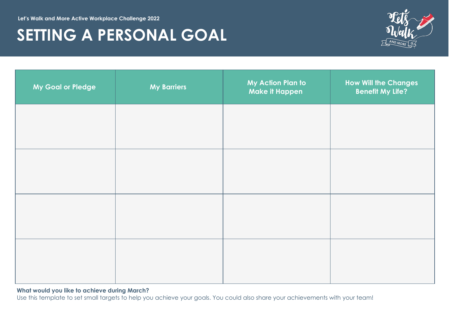**Let's Walk and More Active Workplace Challenge 2022**

## **SETTING A PERSONAL GOAL**



| My Goal or Pledge | <b>My Barriers</b> | My Action Plan to<br><b>Make it Happen</b> | <b>How Will the Changes</b><br><b>Benefit My Life?</b> |
|-------------------|--------------------|--------------------------------------------|--------------------------------------------------------|
|                   |                    |                                            |                                                        |
|                   |                    |                                            |                                                        |
|                   |                    |                                            |                                                        |
|                   |                    |                                            |                                                        |
|                   |                    |                                            |                                                        |

## **What would you like to achieve during March?**

Use this template to set small targets to help you achieve your goals. You could also share your achievements with your team!